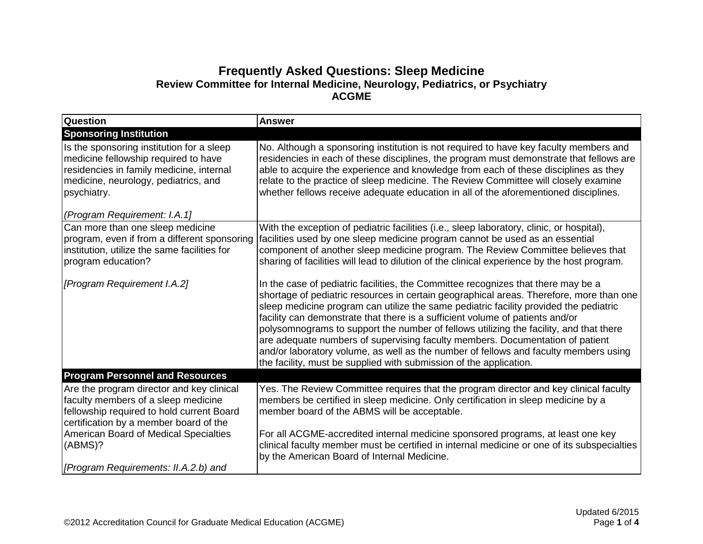## **Frequently Asked Questions: Sleep Medicine Review Committee for Internal Medicine, Neurology, Pediatrics, or Psychiatry ACGME**

| Question                                                                                                                                                                              | <b>Answer</b>                                                                                                                                                                                                                                                                                                                                                                                                                                                                                                                                                                                                                        |
|---------------------------------------------------------------------------------------------------------------------------------------------------------------------------------------|--------------------------------------------------------------------------------------------------------------------------------------------------------------------------------------------------------------------------------------------------------------------------------------------------------------------------------------------------------------------------------------------------------------------------------------------------------------------------------------------------------------------------------------------------------------------------------------------------------------------------------------|
| <b>Sponsoring Institution</b>                                                                                                                                                         |                                                                                                                                                                                                                                                                                                                                                                                                                                                                                                                                                                                                                                      |
| Is the sponsoring institution for a sleep<br>medicine fellowship required to have<br>residencies in family medicine, internal<br>medicine, neurology, pediatrics, and<br>psychiatry.  | No. Although a sponsoring institution is not required to have key faculty members and<br>residencies in each of these disciplines, the program must demonstrate that fellows are<br>able to acquire the experience and knowledge from each of these disciplines as they<br>relate to the practice of sleep medicine. The Review Committee will closely examine<br>whether fellows receive adequate education in all of the aforementioned disciplines.                                                                                                                                                                               |
| (Program Requirement: I.A.1]                                                                                                                                                          |                                                                                                                                                                                                                                                                                                                                                                                                                                                                                                                                                                                                                                      |
| Can more than one sleep medicine<br>program, even if from a different sponsoring<br>institution, utilize the same facilities for<br>program education?<br>[Program Requirement I.A.2] | With the exception of pediatric facilities (i.e., sleep laboratory, clinic, or hospital),<br>facilities used by one sleep medicine program cannot be used as an essential<br>component of another sleep medicine program. The Review Committee believes that<br>sharing of facilities will lead to dilution of the clinical experience by the host program.<br>In the case of pediatric facilities, the Committee recognizes that there may be a<br>shortage of pediatric resources in certain geographical areas. Therefore, more than one<br>sleep medicine program can utilize the same pediatric facility provided the pediatric |
|                                                                                                                                                                                       | facility can demonstrate that there is a sufficient volume of patients and/or<br>polysomnograms to support the number of fellows utilizing the facility, and that there<br>are adequate numbers of supervising faculty members. Documentation of patient<br>and/or laboratory volume, as well as the number of fellows and faculty members using<br>the facility, must be supplied with submission of the application.                                                                                                                                                                                                               |
| <b>Program Personnel and Resources</b>                                                                                                                                                |                                                                                                                                                                                                                                                                                                                                                                                                                                                                                                                                                                                                                                      |
| Are the program director and key clinical<br>faculty members of a sleep medicine<br>fellowship required to hold current Board<br>certification by a member board of the               | Yes. The Review Committee requires that the program director and key clinical faculty<br>members be certified in sleep medicine. Only certification in sleep medicine by a<br>member board of the ABMS will be acceptable.                                                                                                                                                                                                                                                                                                                                                                                                           |
| American Board of Medical Specialties<br>(ABMS)?<br>[Program Requirements: II.A.2.b) and                                                                                              | For all ACGME-accredited internal medicine sponsored programs, at least one key<br>clinical faculty member must be certified in internal medicine or one of its subspecialties<br>by the American Board of Internal Medicine.                                                                                                                                                                                                                                                                                                                                                                                                        |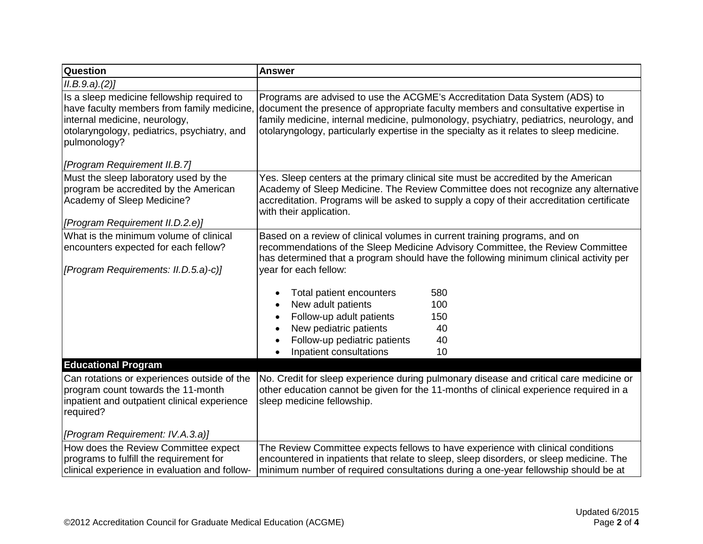| <b>Question</b>                                                                                                                                                                          | <b>Answer</b>                                                                                                                                                                                                                                                                                                                                           |  |  |  |
|------------------------------------------------------------------------------------------------------------------------------------------------------------------------------------------|---------------------------------------------------------------------------------------------------------------------------------------------------------------------------------------------------------------------------------------------------------------------------------------------------------------------------------------------------------|--|--|--|
| ILB.9.a.2)                                                                                                                                                                               |                                                                                                                                                                                                                                                                                                                                                         |  |  |  |
| Is a sleep medicine fellowship required to<br>have faculty members from family medicine,<br>internal medicine, neurology,<br>otolaryngology, pediatrics, psychiatry, and<br>pulmonology? | Programs are advised to use the ACGME's Accreditation Data System (ADS) to<br>document the presence of appropriate faculty members and consultative expertise in<br>family medicine, internal medicine, pulmonology, psychiatry, pediatrics, neurology, and<br>otolaryngology, particularly expertise in the specialty as it relates to sleep medicine. |  |  |  |
| [Program Requirement II.B.7]                                                                                                                                                             |                                                                                                                                                                                                                                                                                                                                                         |  |  |  |
| Must the sleep laboratory used by the<br>program be accredited by the American<br>Academy of Sleep Medicine?<br>[Program Requirement II.D.2.e)]                                          | Yes. Sleep centers at the primary clinical site must be accredited by the American<br>Academy of Sleep Medicine. The Review Committee does not recognize any alternative<br>accreditation. Programs will be asked to supply a copy of their accreditation certificate<br>with their application.                                                        |  |  |  |
| What is the minimum volume of clinical                                                                                                                                                   | Based on a review of clinical volumes in current training programs, and on                                                                                                                                                                                                                                                                              |  |  |  |
| encounters expected for each fellow?                                                                                                                                                     | recommendations of the Sleep Medicine Advisory Committee, the Review Committee                                                                                                                                                                                                                                                                          |  |  |  |
| [Program Requirements: II.D.5.a)-c)]                                                                                                                                                     | has determined that a program should have the following minimum clinical activity per<br>year for each fellow:                                                                                                                                                                                                                                          |  |  |  |
|                                                                                                                                                                                          | Total patient encounters<br>580                                                                                                                                                                                                                                                                                                                         |  |  |  |
|                                                                                                                                                                                          | New adult patients<br>100                                                                                                                                                                                                                                                                                                                               |  |  |  |
|                                                                                                                                                                                          | Follow-up adult patients<br>150                                                                                                                                                                                                                                                                                                                         |  |  |  |
|                                                                                                                                                                                          | New pediatric patients<br>40                                                                                                                                                                                                                                                                                                                            |  |  |  |
|                                                                                                                                                                                          | Follow-up pediatric patients<br>40                                                                                                                                                                                                                                                                                                                      |  |  |  |
|                                                                                                                                                                                          | Inpatient consultations<br>10                                                                                                                                                                                                                                                                                                                           |  |  |  |
| <b>Educational Program</b>                                                                                                                                                               |                                                                                                                                                                                                                                                                                                                                                         |  |  |  |
| Can rotations or experiences outside of the                                                                                                                                              | No. Credit for sleep experience during pulmonary disease and critical care medicine or                                                                                                                                                                                                                                                                  |  |  |  |
| program count towards the 11-month<br>inpatient and outpatient clinical experience                                                                                                       | other education cannot be given for the 11-months of clinical experience required in a<br>sleep medicine fellowship.                                                                                                                                                                                                                                    |  |  |  |
| required?                                                                                                                                                                                |                                                                                                                                                                                                                                                                                                                                                         |  |  |  |
|                                                                                                                                                                                          |                                                                                                                                                                                                                                                                                                                                                         |  |  |  |
| [Program Requirement: IV.A.3.a)]                                                                                                                                                         |                                                                                                                                                                                                                                                                                                                                                         |  |  |  |
| How does the Review Committee expect                                                                                                                                                     | The Review Committee expects fellows to have experience with clinical conditions                                                                                                                                                                                                                                                                        |  |  |  |
| programs to fulfill the requirement for                                                                                                                                                  | encountered in inpatients that relate to sleep, sleep disorders, or sleep medicine. The                                                                                                                                                                                                                                                                 |  |  |  |
| clinical experience in evaluation and follow-                                                                                                                                            | minimum number of required consultations during a one-year fellowship should be at                                                                                                                                                                                                                                                                      |  |  |  |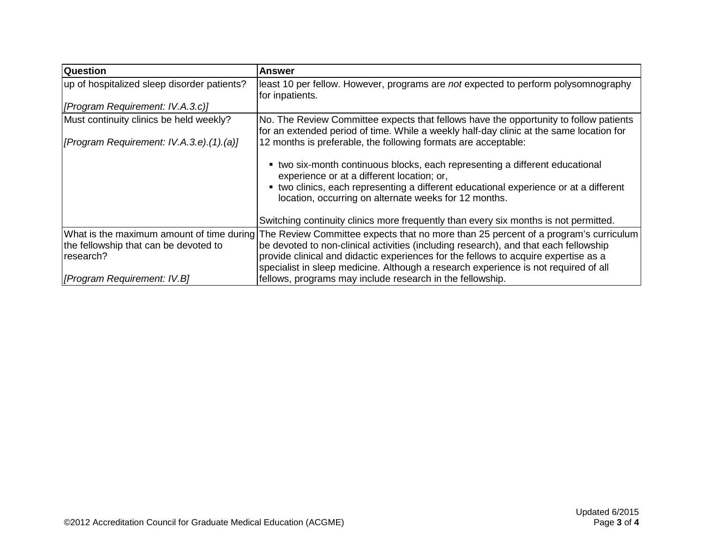| <b>Question</b>                             | <b>Answer</b>                                                                                                                                                                                                                                                                |  |  |
|---------------------------------------------|------------------------------------------------------------------------------------------------------------------------------------------------------------------------------------------------------------------------------------------------------------------------------|--|--|
| up of hospitalized sleep disorder patients? | least 10 per fellow. However, programs are not expected to perform polysomnography<br>for inpatients.                                                                                                                                                                        |  |  |
| [Program Requirement: IV.A.3.c)]            |                                                                                                                                                                                                                                                                              |  |  |
| Must continuity clinics be held weekly?     | No. The Review Committee expects that fellows have the opportunity to follow patients<br>for an extended period of time. While a weekly half-day clinic at the same location for                                                                                             |  |  |
| [Program Requirement: IV.A.3.e).(1).(a)]    | 12 months is preferable, the following formats are acceptable:                                                                                                                                                                                                               |  |  |
|                                             | • two six-month continuous blocks, each representing a different educational<br>experience or at a different location; or,<br>• two clinics, each representing a different educational experience or at a different<br>location, occurring on alternate weeks for 12 months. |  |  |
|                                             | Switching continuity clinics more frequently than every six months is not permitted.                                                                                                                                                                                         |  |  |
|                                             | What is the maximum amount of time during The Review Committee expects that no more than 25 percent of a program's curriculum                                                                                                                                                |  |  |
| the fellowship that can be devoted to       | be devoted to non-clinical activities (including research), and that each fellowship                                                                                                                                                                                         |  |  |
| research?                                   | provide clinical and didactic experiences for the fellows to acquire expertise as a                                                                                                                                                                                          |  |  |
|                                             | specialist in sleep medicine. Although a research experience is not required of all                                                                                                                                                                                          |  |  |
| [Program Requirement: IV.B]                 | fellows, programs may include research in the fellowship.                                                                                                                                                                                                                    |  |  |